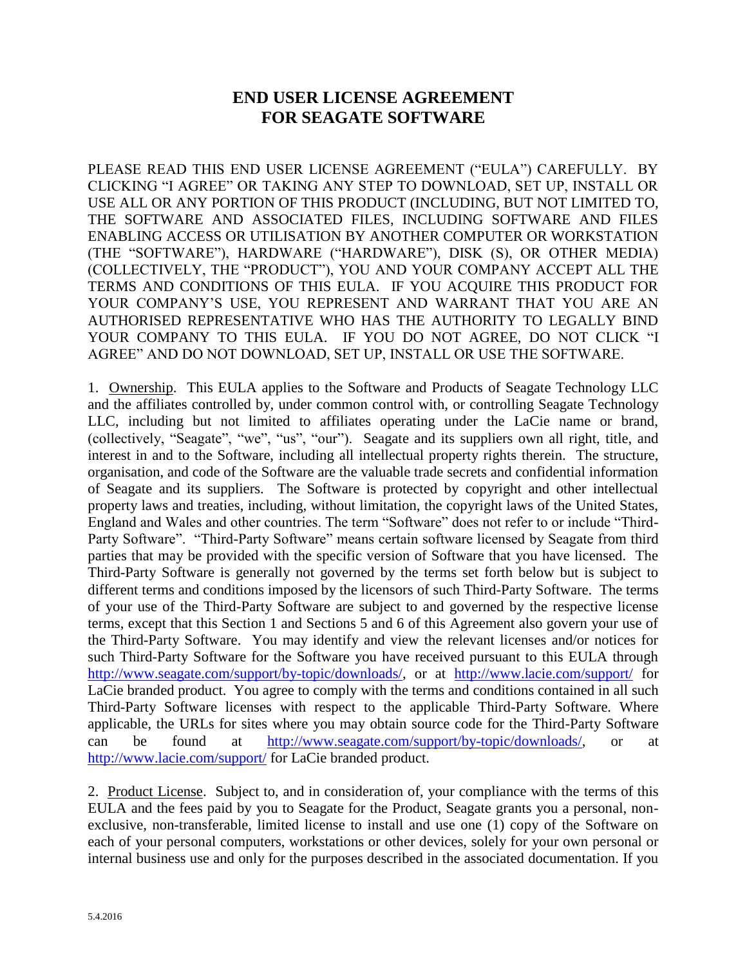## **END USER LICENSE AGREEMENT FOR SEAGATE SOFTWARE**

PLEASE READ THIS END USER LICENSE AGREEMENT ("EULA") CAREFULLY. BY CLICKING "I AGREE" OR TAKING ANY STEP TO DOWNLOAD, SET UP, INSTALL OR USE ALL OR ANY PORTION OF THIS PRODUCT (INCLUDING, BUT NOT LIMITED TO, THE SOFTWARE AND ASSOCIATED FILES, INCLUDING SOFTWARE AND FILES ENABLING ACCESS OR UTILISATION BY ANOTHER COMPUTER OR WORKSTATION (THE "SOFTWARE"), HARDWARE ("HARDWARE"), DISK (S), OR OTHER MEDIA) (COLLECTIVELY, THE "PRODUCT"), YOU AND YOUR COMPANY ACCEPT ALL THE TERMS AND CONDITIONS OF THIS EULA. IF YOU ACQUIRE THIS PRODUCT FOR YOUR COMPANY'S USE, YOU REPRESENT AND WARRANT THAT YOU ARE AN AUTHORISED REPRESENTATIVE WHO HAS THE AUTHORITY TO LEGALLY BIND YOUR COMPANY TO THIS EULA. IF YOU DO NOT AGREE, DO NOT CLICK "I AGREE" AND DO NOT DOWNLOAD, SET UP, INSTALL OR USE THE SOFTWARE.

1. Ownership. This EULA applies to the Software and Products of Seagate Technology LLC and the affiliates controlled by, under common control with, or controlling Seagate Technology LLC, including but not limited to affiliates operating under the LaCie name or brand, (collectively, "Seagate", "we", "us", "our"). Seagate and its suppliers own all right, title, and interest in and to the Software, including all intellectual property rights therein. The structure, organisation, and code of the Software are the valuable trade secrets and confidential information of Seagate and its suppliers. The Software is protected by copyright and other intellectual property laws and treaties, including, without limitation, the copyright laws of the United States, England and Wales and other countries. The term "Software" does not refer to or include "Third-Party Software". "Third-Party Software" means certain software licensed by Seagate from third parties that may be provided with the specific version of Software that you have licensed. The Third-Party Software is generally not governed by the terms set forth below but is subject to different terms and conditions imposed by the licensors of such Third-Party Software. The terms of your use of the Third-Party Software are subject to and governed by the respective license terms, except that this Section 1 and Sections 5 and 6 of this Agreement also govern your use of the Third-Party Software. You may identify and view the relevant licenses and/or notices for such Third-Party Software for the Software you have received pursuant to this EULA through [http://www.seagate.com/support/by-topic/downloads/,](http://www.seagate.com/support/by-topic/downloads/) or at <http://www.lacie.com/support/> for LaCie branded product. You agree to comply with the terms and conditions contained in all such Third-Party Software licenses with respect to the applicable Third-Party Software. Where applicable, the URLs for sites where you may obtain source code for the Third-Party Software can be found at [http://www.seagate.com/support/by-topic/downloads/,](http://www.seagate.com/support/by-topic/downloads/) or at <http://www.lacie.com/support/> for LaCie branded product.

2. Product License. Subject to, and in consideration of, your compliance with the terms of this EULA and the fees paid by you to Seagate for the Product, Seagate grants you a personal, nonexclusive, non-transferable, limited license to install and use one (1) copy of the Software on each of your personal computers, workstations or other devices, solely for your own personal or internal business use and only for the purposes described in the associated documentation. If you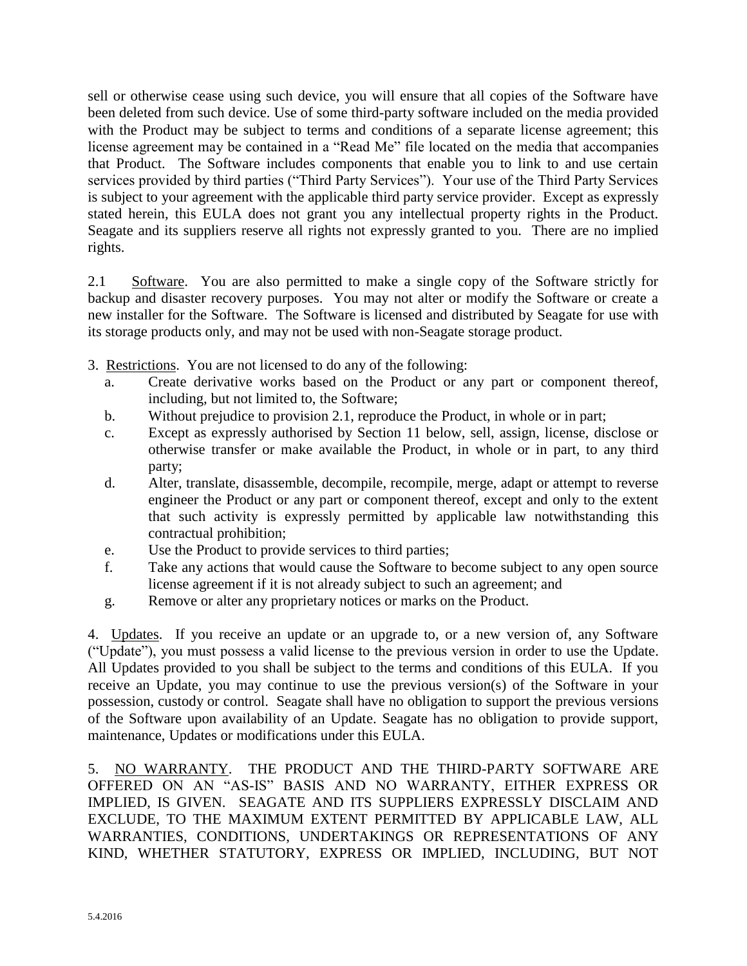sell or otherwise cease using such device, you will ensure that all copies of the Software have been deleted from such device. Use of some third-party software included on the media provided with the Product may be subject to terms and conditions of a separate license agreement; this license agreement may be contained in a "Read Me" file located on the media that accompanies that Product. The Software includes components that enable you to link to and use certain services provided by third parties ("Third Party Services"). Your use of the Third Party Services is subject to your agreement with the applicable third party service provider. Except as expressly stated herein, this EULA does not grant you any intellectual property rights in the Product. Seagate and its suppliers reserve all rights not expressly granted to you. There are no implied rights.

2.1 Software. You are also permitted to make a single copy of the Software strictly for backup and disaster recovery purposes. You may not alter or modify the Software or create a new installer for the Software. The Software is licensed and distributed by Seagate for use with its storage products only, and may not be used with non-Seagate storage product.

- 3. Restrictions. You are not licensed to do any of the following:
	- a. Create derivative works based on the Product or any part or component thereof, including, but not limited to, the Software;
	- b. Without prejudice to provision 2.1, reproduce the Product, in whole or in part;
	- c. Except as expressly authorised by Section 11 below, sell, assign, license, disclose or otherwise transfer or make available the Product, in whole or in part, to any third party;
	- d. Alter, translate, disassemble, decompile, recompile, merge, adapt or attempt to reverse engineer the Product or any part or component thereof, except and only to the extent that such activity is expressly permitted by applicable law notwithstanding this contractual prohibition;
	- e. Use the Product to provide services to third parties;
	- f. Take any actions that would cause the Software to become subject to any open source license agreement if it is not already subject to such an agreement; and
	- g. Remove or alter any proprietary notices or marks on the Product.

4. Updates. If you receive an update or an upgrade to, or a new version of, any Software ("Update"), you must possess a valid license to the previous version in order to use the Update. All Updates provided to you shall be subject to the terms and conditions of this EULA. If you receive an Update, you may continue to use the previous version(s) of the Software in your possession, custody or control. Seagate shall have no obligation to support the previous versions of the Software upon availability of an Update. Seagate has no obligation to provide support, maintenance, Updates or modifications under this EULA.

5. NO WARRANTY. THE PRODUCT AND THE THIRD-PARTY SOFTWARE ARE OFFERED ON AN "AS-IS" BASIS AND NO WARRANTY, EITHER EXPRESS OR IMPLIED, IS GIVEN. SEAGATE AND ITS SUPPLIERS EXPRESSLY DISCLAIM AND EXCLUDE, TO THE MAXIMUM EXTENT PERMITTED BY APPLICABLE LAW, ALL WARRANTIES, CONDITIONS, UNDERTAKINGS OR REPRESENTATIONS OF ANY KIND, WHETHER STATUTORY, EXPRESS OR IMPLIED, INCLUDING, BUT NOT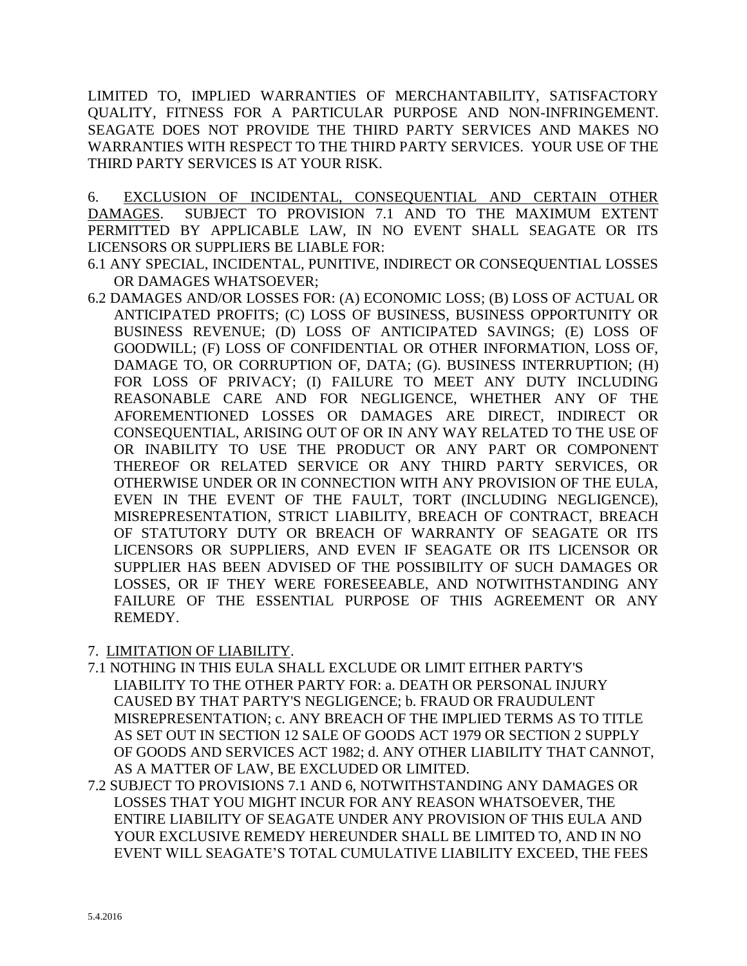LIMITED TO, IMPLIED WARRANTIES OF MERCHANTABILITY, SATISFACTORY QUALITY, FITNESS FOR A PARTICULAR PURPOSE AND NON-INFRINGEMENT. SEAGATE DOES NOT PROVIDE THE THIRD PARTY SERVICES AND MAKES NO WARRANTIES WITH RESPECT TO THE THIRD PARTY SERVICES. YOUR USE OF THE THIRD PARTY SERVICES IS AT YOUR RISK.

6. EXCLUSION OF INCIDENTAL, CONSEQUENTIAL AND CERTAIN OTHER DAMAGES. SUBJECT TO PROVISION 7.1 AND TO THE MAXIMUM EXTENT PERMITTED BY APPLICABLE LAW, IN NO EVENT SHALL SEAGATE OR ITS LICENSORS OR SUPPLIERS BE LIABLE FOR:

- 6.1 ANY SPECIAL, INCIDENTAL, PUNITIVE, INDIRECT OR CONSEQUENTIAL LOSSES OR DAMAGES WHATSOEVER;
- 6.2 DAMAGES AND/OR LOSSES FOR: (A) ECONOMIC LOSS; (B) LOSS OF ACTUAL OR ANTICIPATED PROFITS; (C) LOSS OF BUSINESS, BUSINESS OPPORTUNITY OR BUSINESS REVENUE; (D) LOSS OF ANTICIPATED SAVINGS; (E) LOSS OF GOODWILL; (F) LOSS OF CONFIDENTIAL OR OTHER INFORMATION, LOSS OF, DAMAGE TO, OR CORRUPTION OF, DATA; (G). BUSINESS INTERRUPTION; (H) FOR LOSS OF PRIVACY; (I) FAILURE TO MEET ANY DUTY INCLUDING REASONABLE CARE AND FOR NEGLIGENCE, WHETHER ANY OF THE AFOREMENTIONED LOSSES OR DAMAGES ARE DIRECT, INDIRECT OR CONSEQUENTIAL, ARISING OUT OF OR IN ANY WAY RELATED TO THE USE OF OR INABILITY TO USE THE PRODUCT OR ANY PART OR COMPONENT THEREOF OR RELATED SERVICE OR ANY THIRD PARTY SERVICES, OR OTHERWISE UNDER OR IN CONNECTION WITH ANY PROVISION OF THE EULA, EVEN IN THE EVENT OF THE FAULT, TORT (INCLUDING NEGLIGENCE), MISREPRESENTATION, STRICT LIABILITY, BREACH OF CONTRACT, BREACH OF STATUTORY DUTY OR BREACH OF WARRANTY OF SEAGATE OR ITS LICENSORS OR SUPPLIERS, AND EVEN IF SEAGATE OR ITS LICENSOR OR SUPPLIER HAS BEEN ADVISED OF THE POSSIBILITY OF SUCH DAMAGES OR LOSSES, OR IF THEY WERE FORESEEABLE, AND NOTWITHSTANDING ANY FAILURE OF THE ESSENTIAL PURPOSE OF THIS AGREEMENT OR ANY REMEDY.

## 7. LIMITATION OF LIABILITY.

- 7.1 NOTHING IN THIS EULA SHALL EXCLUDE OR LIMIT EITHER PARTY'S LIABILITY TO THE OTHER PARTY FOR: a. DEATH OR PERSONAL INJURY CAUSED BY THAT PARTY'S NEGLIGENCE; b. FRAUD OR FRAUDULENT MISREPRESENTATION; c. ANY BREACH OF THE IMPLIED TERMS AS TO TITLE AS SET OUT IN SECTION 12 SALE OF GOODS ACT 1979 OR SECTION 2 SUPPLY OF GOODS AND SERVICES ACT 1982; d. ANY OTHER LIABILITY THAT CANNOT, AS A MATTER OF LAW, BE EXCLUDED OR LIMITED.
- 7.2 SUBJECT TO PROVISIONS 7.1 AND 6, NOTWITHSTANDING ANY DAMAGES OR LOSSES THAT YOU MIGHT INCUR FOR ANY REASON WHATSOEVER, THE ENTIRE LIABILITY OF SEAGATE UNDER ANY PROVISION OF THIS EULA AND YOUR EXCLUSIVE REMEDY HEREUNDER SHALL BE LIMITED TO, AND IN NO EVENT WILL SEAGATE'S TOTAL CUMULATIVE LIABILITY EXCEED, THE FEES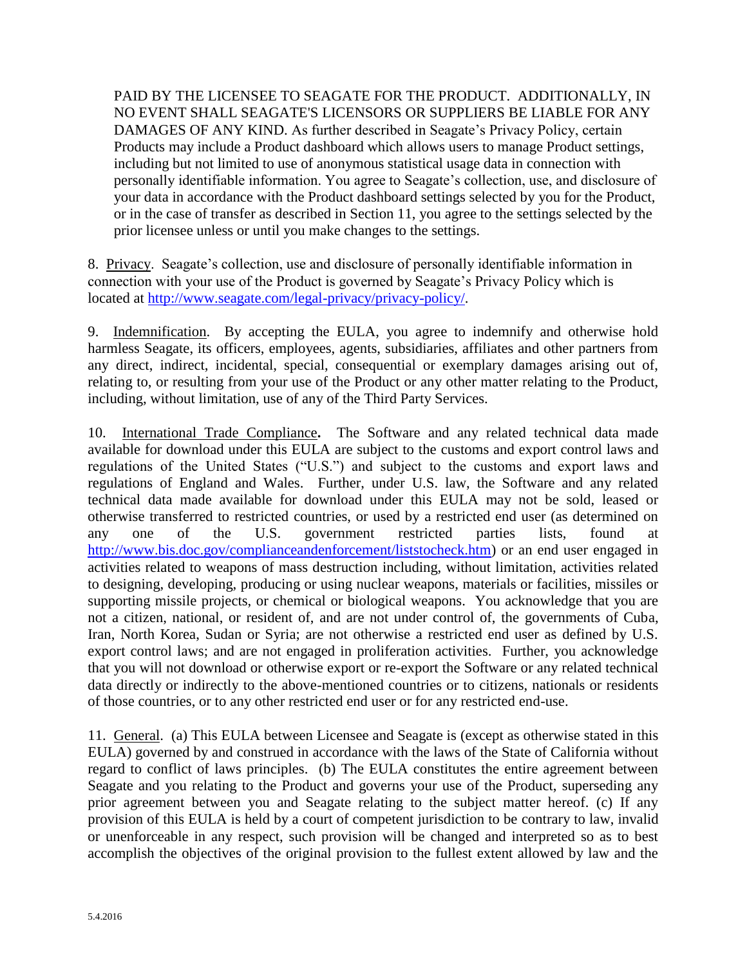PAID BY THE LICENSEE TO SEAGATE FOR THE PRODUCT. ADDITIONALLY, IN NO EVENT SHALL SEAGATE'S LICENSORS OR SUPPLIERS BE LIABLE FOR ANY DAMAGES OF ANY KIND. As further described in Seagate's Privacy Policy, certain Products may include a Product dashboard which allows users to manage Product settings, including but not limited to use of anonymous statistical usage data in connection with personally identifiable information. You agree to Seagate's collection, use, and disclosure of your data in accordance with the Product dashboard settings selected by you for the Product, or in the case of transfer as described in Section 11, you agree to the settings selected by the prior licensee unless or until you make changes to the settings.

8. Privacy. Seagate's collection, use and disclosure of personally identifiable information in connection with your use of the Product is governed by Seagate's Privacy Policy which is located at [http://www.seagate.com/legal-privacy/privacy-policy/.](http://www.seagate.com/legal-privacy/privacy-policy/)

9. Indemnification. By accepting the EULA, you agree to indemnify and otherwise hold harmless Seagate, its officers, employees, agents, subsidiaries, affiliates and other partners from any direct, indirect, incidental, special, consequential or exemplary damages arising out of, relating to, or resulting from your use of the Product or any other matter relating to the Product, including, without limitation, use of any of the Third Party Services.

10. International Trade Compliance**.** The Software and any related technical data made available for download under this EULA are subject to the customs and export control laws and regulations of the United States ("U.S.") and subject to the customs and export laws and regulations of England and Wales. Further, under U.S. law, the Software and any related technical data made available for download under this EULA may not be sold, leased or otherwise transferred to restricted countries, or used by a restricted end user (as determined on any one of the U.S. government restricted parties lists, found at [http://www.bis.doc.gov/complianceandenforcement/liststocheck.htm\)](http://www.bis.doc.gov/complianceandenforcement/liststocheck.htm) or an end user engaged in activities related to weapons of mass destruction including, without limitation, activities related to designing, developing, producing or using nuclear weapons, materials or facilities, missiles or supporting missile projects, or chemical or biological weapons. You acknowledge that you are not a citizen, national, or resident of, and are not under control of, the governments of Cuba, Iran, North Korea, Sudan or Syria; are not otherwise a restricted end user as defined by U.S. export control laws; and are not engaged in proliferation activities. Further, you acknowledge that you will not download or otherwise export or re-export the Software or any related technical data directly or indirectly to the above-mentioned countries or to citizens, nationals or residents of those countries, or to any other restricted end user or for any restricted end-use.

11. General. (a) This EULA between Licensee and Seagate is (except as otherwise stated in this EULA) governed by and construed in accordance with the laws of the State of California without regard to conflict of laws principles. (b) The EULA constitutes the entire agreement between Seagate and you relating to the Product and governs your use of the Product, superseding any prior agreement between you and Seagate relating to the subject matter hereof. (c) If any provision of this EULA is held by a court of competent jurisdiction to be contrary to law, invalid or unenforceable in any respect, such provision will be changed and interpreted so as to best accomplish the objectives of the original provision to the fullest extent allowed by law and the